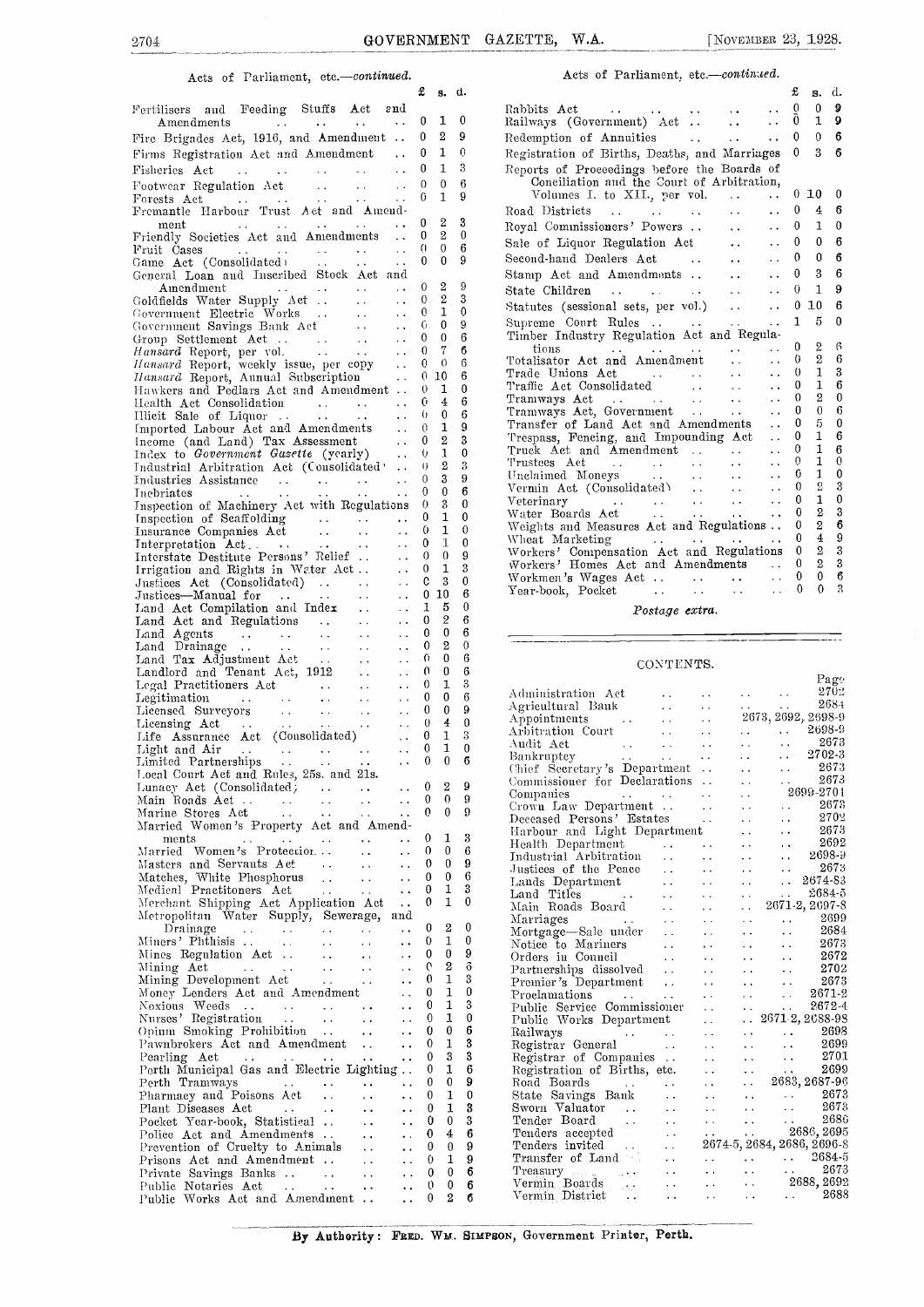### Acts of Parliament, etc.-continued.

|                                                                                                                                                                                                                                                                                                                                                                                                                                           |                                              | x                   | g,                         | α.            |
|-------------------------------------------------------------------------------------------------------------------------------------------------------------------------------------------------------------------------------------------------------------------------------------------------------------------------------------------------------------------------------------------------------------------------------------------|----------------------------------------------|---------------------|----------------------------|---------------|
| Fertilisers and Feeding Stuffs Act and                                                                                                                                                                                                                                                                                                                                                                                                    |                                              |                     |                            |               |
| Amendments<br>$\sim 100$ km s $^{-1}$<br><b>Contract Contract</b>                                                                                                                                                                                                                                                                                                                                                                         | $\sim$ .                                     | 0                   | 1                          | 0             |
| Fire Brigades Act, 1916, and Amendment                                                                                                                                                                                                                                                                                                                                                                                                    |                                              | 0                   | $\overline{2}$             | 9             |
| Firms Registration Act and Amendment                                                                                                                                                                                                                                                                                                                                                                                                      |                                              | 0                   | 1                          | 0             |
| Fisheries Act                                                                                                                                                                                                                                                                                                                                                                                                                             | $\sim$ .                                     | 0                   | 1                          | 3             |
| Footwear Regulation $\det$                                                                                                                                                                                                                                                                                                                                                                                                                | $\sim$                                       | $\overline{0}$<br>0 | 0<br>1                     | 6<br>9        |
|                                                                                                                                                                                                                                                                                                                                                                                                                                           |                                              |                     |                            |               |
|                                                                                                                                                                                                                                                                                                                                                                                                                                           |                                              | 0                   | 2                          | 3             |
| ment<br>Friendly Societies Act and Amendments                                                                                                                                                                                                                                                                                                                                                                                             |                                              | 0                   | 2                          | $\bf{0}$      |
| Fruit Cases<br>Game Act (Consolidated)                                                                                                                                                                                                                                                                                                                                                                                                    | $\ddotsc$                                    | 0                   | 0                          | 6<br>9        |
| General Loan and Inscribed Stock Act and                                                                                                                                                                                                                                                                                                                                                                                                  | $\ddot{\phantom{a}}$ .                       | 0                   | 0                          |               |
| Amendment<br>$\sim$ $\sim$<br>$\sim$ $\sim$                                                                                                                                                                                                                                                                                                                                                                                               | $\sim 10^{-1}$                               | 0                   | $\overline{2}$             | 9             |
|                                                                                                                                                                                                                                                                                                                                                                                                                                           | $\sim$ 4                                     | 0                   | 2                          | 3             |
|                                                                                                                                                                                                                                                                                                                                                                                                                                           | $\sim$ $\sim$                                | 0.                  | 1                          | 0             |
|                                                                                                                                                                                                                                                                                                                                                                                                                                           | $\sim 10^{-1}$                               | 6.<br>0             | 0<br>$\theta$              | 9<br>6        |
| Government Electric Works<br>Government Savings Bank Act<br>Group Settlement Act<br><i>Hansard</i> Report, per vol.                                                                                                                                                                                                                                                                                                                       | $\sim 10$                                    | $\theta$            | 7                          | 6             |
| Hansard Report, per vol.<br>Hansard Report, weekly issue, per copy<br>Hansard Report, Annual Subscription<br>Hawkers and Pedlars Actord Article                                                                                                                                                                                                                                                                                           |                                              |                     | $0 \quad 0$                | 6             |
|                                                                                                                                                                                                                                                                                                                                                                                                                                           |                                              |                     | $0\,10$                    | 6             |
| Hawkers and Pedlars Act and Amendment                                                                                                                                                                                                                                                                                                                                                                                                     |                                              | 0.                  | 1<br>$\overline{4}$        | 0             |
| Ilealth Act Consolidation<br>Illieit Sale of Liquor<br>Imported Labour Act and Amendments                                                                                                                                                                                                                                                                                                                                                 | $\sim$ $\sim$<br>$\mathbf{v}$ , $\mathbf{v}$ | 0<br>0              | 0                          | 6<br>6        |
|                                                                                                                                                                                                                                                                                                                                                                                                                                           | $\ddotsc$                                    | 0                   | 1                          | 9             |
| Income (and Land) Tax Assessment<br>Index to Government Gasette (yearly)                                                                                                                                                                                                                                                                                                                                                                  | $\sim$ $\sim$                                | 0                   | 2                          | 3             |
|                                                                                                                                                                                                                                                                                                                                                                                                                                           | $\sim 10^{-1}$                               | O.                  | 1                          | 0             |
| Industrial Arbitration Act (Consolidated                                                                                                                                                                                                                                                                                                                                                                                                  |                                              | O.<br>0             | $\overline{2}$<br>3        | 3<br>9        |
| Industries Assistance<br>Inebriates                                                                                                                                                                                                                                                                                                                                                                                                       | $\ddotsc$<br>$\ddotsc$                       | 0                   | $\mathbf{0}$               | 6             |
| Inspection of Machinery Act with Regulations                                                                                                                                                                                                                                                                                                                                                                                              |                                              | 0                   | 3                          | 0             |
| Inspection of Seaffolding<br>Insurance Companies Act<br>Insurance Companies Act<br>Interpretation Act<br>Interstate Destitute Persons' Relief<br>Interstate Destitute Persons' Relief<br>Irrigation and Rights in Weter Act.                                                                                                                                                                                                              |                                              | 0                   | 1                          | 0             |
|                                                                                                                                                                                                                                                                                                                                                                                                                                           |                                              | 0.                  | 1                          | 0             |
|                                                                                                                                                                                                                                                                                                                                                                                                                                           |                                              | 0<br>0              | 1<br>$\theta$              | 0<br>9        |
|                                                                                                                                                                                                                                                                                                                                                                                                                                           |                                              | 0                   | 1                          | 3             |
|                                                                                                                                                                                                                                                                                                                                                                                                                                           | $\sim$ $\sim$                                | C                   | 3                          | 0             |
|                                                                                                                                                                                                                                                                                                                                                                                                                                           | $\ddot{\phantom{0}}$                         |                     | $0\,10$                    | 6             |
|                                                                                                                                                                                                                                                                                                                                                                                                                                           | $\ddot{\phantom{a}}$ .                       | 1                   | 5                          | 0             |
|                                                                                                                                                                                                                                                                                                                                                                                                                                           | $\ddot{\phantom{a}}$ .                       | 0<br>0              | $\overline{2}$<br>$\bf{0}$ | 6<br>6        |
|                                                                                                                                                                                                                                                                                                                                                                                                                                           | $\sim$<br>$\ddot{\phantom{0}}$               | 0                   | $\overline{2}$             | $\bf{0}$      |
|                                                                                                                                                                                                                                                                                                                                                                                                                                           | $\ddot{\phantom{a}}$                         | 0                   | 0                          | 6             |
|                                                                                                                                                                                                                                                                                                                                                                                                                                           | i.                                           | 0                   | 0                          | 6             |
| Legal Practitioners Act<br>Legal Practitioners Act<br>Legitimation<br>Licensed Surveyors<br>Licensing Act<br>Life Assurance Act (Consolidated)                                                                                                                                                                                                                                                                                            | $\ddot{\phantom{0}}$                         | 0                   | 1                          | 3             |
|                                                                                                                                                                                                                                                                                                                                                                                                                                           | $\sim 10^{-1}$<br>$\sim 10^{-1}$             | 0<br>0              | 0<br>0                     | 6<br>9        |
|                                                                                                                                                                                                                                                                                                                                                                                                                                           | $\mathcal{L}(\mathcal{L})$                   | $\mathbf{0}$        | 4                          | $\bf{0}$      |
|                                                                                                                                                                                                                                                                                                                                                                                                                                           |                                              | 0                   | $\mathbf{1}$               | 3             |
| Light and Air (Consolidated)<br>Light and Air (Consolidated)<br>Limited Partnerships (1995)<br>Local Court Act and Rules, 25s. and 21s.<br>Lunacy Act (Consolidated)                                                                                                                                                                                                                                                                      |                                              | 0                   | 1                          | $\mathbf{0}$  |
|                                                                                                                                                                                                                                                                                                                                                                                                                                           |                                              | 0                   | $\mathbf{0}$               | 6             |
|                                                                                                                                                                                                                                                                                                                                                                                                                                           |                                              |                     | $0\quad 2\quad 9$          |               |
| $\sim$ $\sim$                                                                                                                                                                                                                                                                                                                                                                                                                             | $\ddot{\phantom{0}}$                         | 0                   | 0                          | 9             |
| $\sim$ $\sim$                                                                                                                                                                                                                                                                                                                                                                                                                             | $\ddot{\phantom{a}}$                         | 0                   | 0                          | 9             |
| Married Women's Property Act and Amend-                                                                                                                                                                                                                                                                                                                                                                                                   |                                              |                     |                            |               |
| ments<br>$\ddotsc$<br>Married Women's Protection<br>$\ddot{\phantom{0}}$ .                                                                                                                                                                                                                                                                                                                                                                | $\ddot{\phantom{0}}$<br>$\ddot{\phantom{a}}$ | 0<br>0              | 1<br>0                     | 3<br>6        |
| $\sim 10^{-1}$                                                                                                                                                                                                                                                                                                                                                                                                                            | $\ddotsc$                                    | 0                   | 0                          | 9             |
| Matches, White Phosphorus<br>Medical Practitors<br>$\rightarrow$ $\rightarrow$                                                                                                                                                                                                                                                                                                                                                            | . .                                          | 0                   | 0                          | 6             |
| $\sim$<br>$\sim$ $\sim$                                                                                                                                                                                                                                                                                                                                                                                                                   | $\ddot{\phantom{1}}$                         | 0                   | 1                          | 3             |
| Merchant Shipping Act Application Act                                                                                                                                                                                                                                                                                                                                                                                                     | $\ddot{\phantom{1}}$                         | 0                   | 1                          | 0             |
| Metropolitan Water Supply, Sewerage, and<br>Drainage<br>$\ddotsc$<br>$\sim$ $\sim$                                                                                                                                                                                                                                                                                                                                                        | $\ddot{\phantom{0}}$                         | 0                   | 2                          | 0             |
| $\frac{1}{2} \sum_{i=1}^{n} \frac{1}{i} \sum_{j=1}^{n} \frac{1}{j} \sum_{j=1}^{n} \frac{1}{j} \sum_{j=1}^{n} \frac{1}{j} \sum_{j=1}^{n} \frac{1}{j} \sum_{j=1}^{n} \frac{1}{j} \sum_{j=1}^{n} \frac{1}{j} \sum_{j=1}^{n} \frac{1}{j} \sum_{j=1}^{n} \frac{1}{j} \sum_{j=1}^{n} \frac{1}{j} \sum_{j=1}^{n} \frac{1}{j} \sum_{j=1}^{n} \frac{1}{j} \sum_{j=1}^{n$<br>$\frac{1}{2}$<br>Miners' Phthisis .<br>$\rightarrow$ $\bar{\nu}$<br>ù, | $\ddot{\phantom{0}}$                         | 0                   | 1                          | 0             |
| Mines Regulation Act<br>$\epsilon$ .<br>$\rightarrow$ $\rightarrow$ $\rightarrow$                                                                                                                                                                                                                                                                                                                                                         |                                              | 0                   | 0                          | 9             |
| Mining Act<br>Mining Development Act<br>Money Lenders Act and Amendment<br>$\sim 10^{-1}$                                                                                                                                                                                                                                                                                                                                                 | $\ddot{\phantom{0}}$                         | 0                   | 2                          | ô             |
|                                                                                                                                                                                                                                                                                                                                                                                                                                           | . .                                          | 0                   | 1<br>1                     | 3<br>0        |
|                                                                                                                                                                                                                                                                                                                                                                                                                                           | . .<br>Ϋ.                                    | 0<br>0              | 1                          | 3             |
| Noxious Weeds<br>Nurses' Registration<br>Noxious Weeds<br>Nurses' Registration<br>Opium Smoking Prohibition<br>$\sim$ $\sim$ $\sim$<br>$\sim 10^{-1}$                                                                                                                                                                                                                                                                                     |                                              | 0                   | 1                          | 0             |
| $\ddotsc$                                                                                                                                                                                                                                                                                                                                                                                                                                 | . .                                          | 0                   | 0                          | 6             |
| Pawnbrokers Act and Amendment                                                                                                                                                                                                                                                                                                                                                                                                             |                                              | 0                   | 1                          | 3             |
| Pearling Act<br>$\sim 100$ km s $^{-1}$<br>$\ddot{\phantom{1}}$<br>$\sim$ $\sim$<br>$\sim$ $\sim$<br>Perth Municipal Gas and Electric Lighting                                                                                                                                                                                                                                                                                            | . .                                          | 0                   | 3<br>1                     | $\bf{3}$<br>6 |
| Perth Tramways<br>$\ddot{\phantom{0}}$                                                                                                                                                                                                                                                                                                                                                                                                    | $\ddotsc$                                    | 0<br>0              | 0                          | 9             |
| Pharmacy and Poisons Act<br>i.                                                                                                                                                                                                                                                                                                                                                                                                            | . .                                          | 0                   | 1                          | 0             |
| Plant Diseases Act<br>$\sim$ $\star$<br>. .                                                                                                                                                                                                                                                                                                                                                                                               | . .                                          | 0                   | 1                          | 3             |
| Pocket Year-book, Statistical<br>$\ddot{\phantom{0}}$                                                                                                                                                                                                                                                                                                                                                                                     |                                              | 0                   | 0                          | 3             |
| Police Act and Amendments<br>. .                                                                                                                                                                                                                                                                                                                                                                                                          | $\ddot{\phantom{0}}$                         | 0                   | 4                          | 6             |
| Prevention of Cruelty to Animals<br>$\ddot{\phantom{0}}$<br>Prisons Act and Amendment                                                                                                                                                                                                                                                                                                                                                     |                                              | 0<br>0              | 0<br>1                     | 9<br>9        |
| $\sim$<br>Private Savings Banks<br>$\sim 100$<br>$\ddot{\phantom{0}}$                                                                                                                                                                                                                                                                                                                                                                     | . .<br>. .                                   | 0                   | 0                          | 6             |
| Public Notaries Act<br>$\ddot{\phantom{1}}$ .<br>$\ddotsc$                                                                                                                                                                                                                                                                                                                                                                                |                                              | 0                   | 0                          | 6             |
| Public Works Act and Amendment                                                                                                                                                                                                                                                                                                                                                                                                            |                                              | 0                   | 2                          | 6             |

### Acts of Parliament, etc.-continued.

|                                                                                                                                                                                                                                                                                                                                                                                                                                                                                |                      | む            | s.             | α.             |
|--------------------------------------------------------------------------------------------------------------------------------------------------------------------------------------------------------------------------------------------------------------------------------------------------------------------------------------------------------------------------------------------------------------------------------------------------------------------------------|----------------------|--------------|----------------|----------------|
| Rabbits Act                                                                                                                                                                                                                                                                                                                                                                                                                                                                    |                      | 0            | 0              | 9              |
| Railways (Government) Act<br>$\ddotsc$                                                                                                                                                                                                                                                                                                                                                                                                                                         |                      | ō            | 1              | $\mathbf 9$    |
| Redemption of Annuities<br>$\ddot{\phantom{a}}$<br><b>Contract Contract</b>                                                                                                                                                                                                                                                                                                                                                                                                    |                      | $\theta$     | 0              | 6              |
| Registration of Births, Deaths, and Marriages                                                                                                                                                                                                                                                                                                                                                                                                                                  |                      | 0            | 3              | 6              |
| Reports of Proceedings before the Boards of                                                                                                                                                                                                                                                                                                                                                                                                                                    |                      |              |                |                |
| Conciliation and the Court of Arbitration,                                                                                                                                                                                                                                                                                                                                                                                                                                     |                      |              |                |                |
| Volumes I. to XII., per vol.<br>$\ddotsc$                                                                                                                                                                                                                                                                                                                                                                                                                                      | $\ddot{\phantom{0}}$ | 0            | 10             | 0              |
|                                                                                                                                                                                                                                                                                                                                                                                                                                                                                |                      | 0            | 4              | 6              |
| Royal Commissioners' Powers                                                                                                                                                                                                                                                                                                                                                                                                                                                    |                      | 0            | $\mathbf{1}$   | $\theta$       |
| Sale of Liquor Regulation Act                                                                                                                                                                                                                                                                                                                                                                                                                                                  | . .                  | 0            | 0              | 6              |
| Second-hand Dealers Act<br>$\sim$ $\sim$                                                                                                                                                                                                                                                                                                                                                                                                                                       |                      | 0            | 0              | 6              |
| Stamp Act and Amendments.                                                                                                                                                                                                                                                                                                                                                                                                                                                      |                      | 0            | 3              | 6              |
| State Children<br>and the state of the state                                                                                                                                                                                                                                                                                                                                                                                                                                   |                      | 0            | 1              | 9              |
| Statutes (sessional sets, per vol.)<br>$\ddot{\phantom{0}}$                                                                                                                                                                                                                                                                                                                                                                                                                    | $\ddot{\phantom{0}}$ | O            | 10             | 6              |
|                                                                                                                                                                                                                                                                                                                                                                                                                                                                                |                      | $\mathbf{1}$ | 5              | $\theta$       |
|                                                                                                                                                                                                                                                                                                                                                                                                                                                                                |                      |              |                |                |
| tions                                                                                                                                                                                                                                                                                                                                                                                                                                                                          | $\ddot{\phantom{0}}$ | 0            | 2              | 6              |
| tions<br>Totalisator Act and Amendment<br>$\ddot{\phantom{a}}$                                                                                                                                                                                                                                                                                                                                                                                                                 | $\ddot{\phantom{0}}$ | 0            | $\overline{2}$ | 6              |
| Trade Unions Act<br>$\mathbf{u} \cdot \mathbf{u} = \mathbf{u} \cdot \mathbf{u} + \mathbf{u} \cdot \mathbf{u}$                                                                                                                                                                                                                                                                                                                                                                  | $\ddot{\phantom{0}}$ | 0            | $\mathbf{1}$   | 3              |
| Traffic Act Consolidated                                                                                                                                                                                                                                                                                                                                                                                                                                                       | $\ddot{\phantom{0}}$ | 0            | $\mathbf{1}$   | 6              |
| $\ddot{\phantom{0}}$                                                                                                                                                                                                                                                                                                                                                                                                                                                           | $\ddot{\phantom{0}}$ | 0            | $\overline{2}$ | $\mathbf{0}$   |
| Tramways Act<br>Tramways Act, Government<br>$\ddot{\phantom{a}}$                                                                                                                                                                                                                                                                                                                                                                                                               | $\ddot{\phantom{0}}$ | 0            | $\theta$       | 6              |
| Transfer of Land Act and Amendments                                                                                                                                                                                                                                                                                                                                                                                                                                            | $\ddot{\phantom{0}}$ | 0            | 5              | $\bf{0}$       |
| Trespass, Fencing, and Impounding Act                                                                                                                                                                                                                                                                                                                                                                                                                                          | $\ddot{\phantom{0}}$ | 0            | 1              | 6              |
| Truck Act and Amendment<br>$\ddotsc$                                                                                                                                                                                                                                                                                                                                                                                                                                           | $\ddot{\phantom{0}}$ | 0            | $\mathbf{1}$   | 6              |
| Trustees Act<br>$\mathcal{L}^{\mathcal{A}}$ and $\mathcal{L}^{\mathcal{A}}$ . The set of the set of the $\mathcal{L}^{\mathcal{A}}$                                                                                                                                                                                                                                                                                                                                            | . .                  | 0            | $\mathbf{1}$   | 0              |
| $\cdots$                                                                                                                                                                                                                                                                                                                                                                                                                                                                       | $\ddot{\phantom{0}}$ | 6            | 1              | 0              |
| Vermin Act (Consolidated)<br>$\ddot{\phantom{a}}$                                                                                                                                                                                                                                                                                                                                                                                                                              | . .                  | $\Omega$     | $\overline{2}$ | 3              |
| $Veterinary$ . $\cdots$<br>$\sim 10^{-11}$                                                                                                                                                                                                                                                                                                                                                                                                                                     | $\ddot{\phantom{0}}$ | 0            | $\mathbf{1}$   | $\mathbf{0}$   |
| Water Boards Act<br>$\sim 10^{-10}$ km $^{-1}$<br>$\ddotsc$<br>$\ddotsc$                                                                                                                                                                                                                                                                                                                                                                                                       |                      | 0            | $\overline{2}$ | 3              |
| Weights and Measures Act and Regulations                                                                                                                                                                                                                                                                                                                                                                                                                                       |                      | 0            | $\overline{2}$ | 6              |
| Wheat Marketing<br>$\mathcal{L}(\mathcal{L}(\mathcal{L}(\mathcal{L}(\mathcal{L}(\mathcal{L}(\mathcal{L}(\mathcal{L}(\mathcal{L}(\mathcal{L}(\mathcal{L}(\mathcal{L}(\mathcal{L}(\mathcal{L}(\mathcal{L}(\mathcal{L}(\mathcal{L}(\mathcal{L}(\mathcal{L}(\mathcal{L}(\mathcal{L}(\mathcal{L}(\mathcal{L}(\mathcal{L}(\mathcal{L}(\mathcal{L}(\mathcal{L}(\mathcal{L}(\mathcal{L}(\mathcal{L}(\mathcal{L}(\mathcal{L}(\mathcal{L}(\mathcal{L}(\mathcal{L}(\mathcal{L}(\mathcal{$ | $\ddot{\phantom{0}}$ | 0            | $\overline{4}$ | 9              |
| Workers' Compensation Act and Regulations                                                                                                                                                                                                                                                                                                                                                                                                                                      |                      | 0            | 2              | 3              |
| Workers' Homes Act and Amendments                                                                                                                                                                                                                                                                                                                                                                                                                                              |                      | 0            | $\overline{2}$ | 3              |
| Workmen's Wages Act.<br>$\mathbf{z}$ , $\mathbf{z}$ , $\mathbf{z}$ , $\mathbf{z}$ , $\mathbf{z}$                                                                                                                                                                                                                                                                                                                                                                               |                      | 0            | $\bf{0}$       | 6              |
| Year-book, Pocket<br><b>Carl Corp.</b><br>$\sim$ $\sim$<br>and the state of the                                                                                                                                                                                                                                                                                                                                                                                                |                      | 0            | $\Omega$       | $\overline{a}$ |
|                                                                                                                                                                                                                                                                                                                                                                                                                                                                                |                      |              |                |                |

Postage extra.

.<del>. . .</del>

#### CONTENTS.

|                                                     |                                              |                      |                      |                                                                                               | Page                                                              |
|-----------------------------------------------------|----------------------------------------------|----------------------|----------------------|-----------------------------------------------------------------------------------------------|-------------------------------------------------------------------|
| Administration Act                                  |                                              |                      |                      | $\ddot{\phantom{1}}$<br>$\bullet$ , $\bullet$ , $\bullet$ , $\bullet$ , $\bullet$ , $\bullet$ | 2702                                                              |
| Agricultural Bank                                   | $\ddot{\phantom{a}}$                         | . .                  |                      |                                                                                               | 2684                                                              |
| Appointments                                        | i.                                           | $\ddot{\phantom{0}}$ |                      |                                                                                               | 2673, 2692, 2698-9                                                |
| Arbitration Court                                   | . .                                          |                      | . .                  | <b>CALL</b>                                                                                   | 2698-9                                                            |
| Audit Act<br>$\sim 10^{11}$ km $^{-1}$              | $\sim$ $\sim$                                |                      |                      | i.                                                                                            | 2673                                                              |
| Bankruptey<br><b>Contract</b>                       | $\mathbf{r}$                                 |                      |                      | $\ddot{\phantom{0}}$                                                                          | 2702-3                                                            |
| Chief Secretary's Department                        |                                              | $\ddot{\phantom{0}}$ | L.                   | . .                                                                                           | 2673                                                              |
| Commissioner for Declarations                       |                                              | . .                  | $\ddotsc$            | . .                                                                                           | 2673                                                              |
| Companies<br>$\mathcal{O}(\log n)$ , where $\log n$ |                                              | $\ddot{\phantom{a}}$ | $\ddot{\phantom{0}}$ |                                                                                               | 2699-2701                                                         |
| Crown Law Department                                |                                              | $\ddot{\phantom{0}}$ |                      | . .                                                                                           | 2673                                                              |
| Deceased Persons' Estates                           |                                              | $\ddot{\phantom{0}}$ |                      | $\ddot{\phantom{0}}$                                                                          | -2702                                                             |
| Harbour and Light Department                        |                                              |                      | $\ddot{\phantom{0}}$ | $\ddot{\phantom{0}}$                                                                          | - 2673                                                            |
| Health Department                                   | $\ddot{\phantom{a}}$                         | . .                  |                      | $\ddot{\phantom{0}}$                                                                          | 2692                                                              |
| Industrial Arbitration                              | $\ddot{\phantom{0}}$                         | $\ddot{\phantom{a}}$ | $\ddot{\phantom{0}}$ | $\ddot{\phantom{a}}$                                                                          | 2698-9                                                            |
| Justices of the Peace                               | $\ddot{\phantom{0}}$                         |                      | . .                  | $\ddot{\phantom{0}}$                                                                          | 2673                                                              |
| Lands Department                                    | $\ddot{\phantom{a}}$                         | $\ddot{\phantom{0}}$ | $\ddot{\phantom{0}}$ | $\ddot{\phantom{0}}$                                                                          | 2674-83                                                           |
| Land Titles<br>$\sim 100$ k $\alpha$                | $\ddotsc$                                    | . .                  | . .                  | $\sim$                                                                                        | 2684-5                                                            |
| Main Roads Board                                    | . .                                          |                      | ÷.                   |                                                                                               | 2671-2, 2697-8                                                    |
| Marriages                                           | . .                                          |                      | . .                  | . .                                                                                           | 2699                                                              |
| Mortgage-Sale under                                 | i.                                           |                      | . .                  | $\sim$                                                                                        | 2684                                                              |
| Notice to Mariners                                  | è.                                           |                      | $\ddot{\phantom{0}}$ | $\ddot{\phantom{0}}$                                                                          | 2673                                                              |
| Orders in Council                                   |                                              |                      | . .                  | $\ddot{\phantom{0}}$                                                                          | 2672                                                              |
| Partnerships dissolved                              | $\ddot{\phantom{1}}$<br>$\ddot{\phantom{0}}$ |                      | $\ddot{\phantom{0}}$ | $\ddotsc$                                                                                     | 2702                                                              |
|                                                     |                                              |                      |                      | $\ddot{\phantom{0}}$                                                                          | 2673                                                              |
| Premier's Department                                | $\ddot{\phantom{a}}$                         |                      | $\ddot{\phantom{0}}$ | $\ddot{\phantom{a}}$                                                                          | 2671-2                                                            |
| Proclamations                                       | $\ddot{\phantom{0}}$                         | . .                  | i.                   |                                                                                               | 2672-4                                                            |
| Public Service Commissioner                         |                                              | $\ddot{\phantom{0}}$ | $\ddot{\phantom{0}}$ | $\ddotsc$                                                                                     | 2671 2, 2688-98                                                   |
| Public Works Department                             |                                              | $\ddot{\phantom{0}}$ | . .                  |                                                                                               | 2698                                                              |
| Railways<br>$\sim 100$ M $_\odot$ m $^{-1}$         |                                              |                      | $\ddot{\phantom{0}}$ |                                                                                               | 2699                                                              |
| Registrar General                                   | $\ddot{\phantom{0}}$                         |                      | $\ddot{\phantom{0}}$ | $\ddot{\phantom{0}}$                                                                          | 2701                                                              |
| Registrar of Companies.                             |                                              |                      | . .                  | $\ddotsc$                                                                                     |                                                                   |
| Registration of Births, etc.                        |                                              | . .                  | $\ddotsc$            | $\ddot{\phantom{a}}$                                                                          | 2699                                                              |
| Road Boards<br><b>Contractor</b>                    | $\ddot{\phantom{a}}$                         |                      | $\ddot{\phantom{0}}$ |                                                                                               | 2683, 2687-96                                                     |
| State Savings Bank                                  |                                              | . .                  | ÷.                   | $\mathbf{r}$ , and the set                                                                    | 2673                                                              |
| Sworn Valuator                                      |                                              |                      | $\ddot{\phantom{a}}$ | $\ddot{\phantom{0}}$                                                                          | 2673                                                              |
| Tender Board<br>$\sim 100$                          |                                              | $\ddotsc$            | $\ddot{\phantom{a}}$ | $\ddotsc$                                                                                     | 2686                                                              |
| Tenders accepted                                    |                                              |                      |                      |                                                                                               | 2686, 2695                                                        |
| Tenders invited                                     |                                              |                      |                      |                                                                                               | 2674-5, 2684, 2686, 2696-8                                        |
| Transfer of Land                                    |                                              |                      |                      |                                                                                               | $\ldots$ 2684-5                                                   |
| umn Boards                                          |                                              |                      |                      |                                                                                               | 2673<br>$\mathbf{r}(\mathbf{x})$ , $\mathbf{r}(\mathbf{x})$       |
|                                                     |                                              |                      | i.                   |                                                                                               | 2688, 2692                                                        |
|                                                     |                                              |                      |                      |                                                                                               | 2688<br>$\mathcal{L}(\mathcal{L})$ and $\mathcal{L}(\mathcal{L})$ |

By Authority: FRED. WM. SIMPSON, Government Printer, Perth.